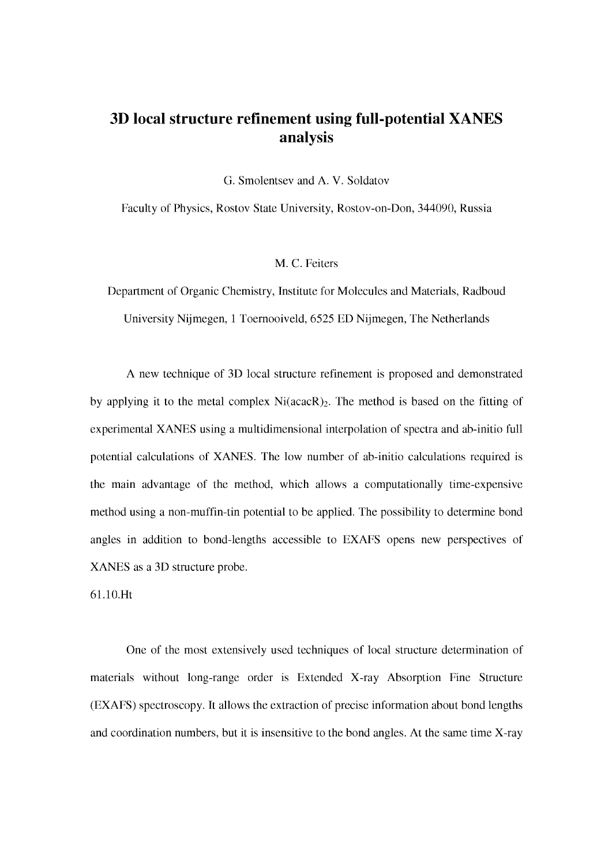## **3D local structure refinement using full-potential XANES analysis**

G. Smolentsev and A. V. Soldatov

Faculty of Physics, Rostov State University, Rostov-on-Don, 344090, Russia

M. C. Feiters

Department of Organic Chemistry, Institute for Molecules and Materials, Radboud University Nijmegen, 1 Toernooiveld, 6525 ED Nijmegen, The Netherlands

A new technique of 3D local structure refinement is proposed and demonstrated by applying it to the metal complex Ni(acacR)<sub>2</sub>. The method is based on the fitting of experimental XANES using a multidimensional interpolation of spectra and ab-initio full potential calculations of XANES. The low number of ab-initio calculations required is the main advantage of the method, which allows a computationally time-expensive method using a non-muffin-tin potential to be applied. The possibility to determine bond angles in addition to bond-lengths accessible to EXAFS opens new perspectives of XANES as a 3D structure probe.

61.10.Ht

One of the most extensively used techniques of local structure determination of materials without long-range order is Extended X-ray Absorption Fine Structure (EXAFS) spectroscopy. It allows the extraction of precise information about bond lengths and coordination numbers, but it is insensitive to the bond angles. At the same time X-ray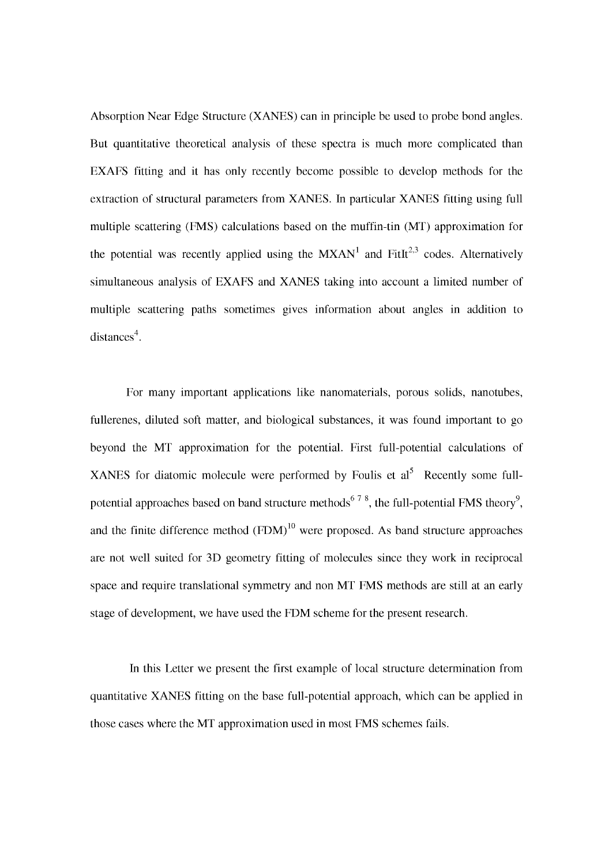Absorption Near Edge Structure (XANES) can in principle be used to probe bond angles. But quantitative theoretical analysis of these spectra is much more complicated than EXAFS fitting and it has only recently become possible to develop methods for the extraction of structural parameters from XANES. In particular XANES fitting using full multiple scattering (FMS) calculations based on the muffin-tin (MT) approximation for the potential was recently applied using the  $MXAN<sup>1</sup>$  and FitIt<sup>2,3</sup> codes. Alternatively simultaneous analysis of EXAFS and XANES taking into account a limited number of multiple scattering paths sometimes gives information about angles in addition to  $distances<sup>4</sup>$ .

For many important applications like nanomaterials, porous solids, nanotubes, fullerenes, diluted soft matter, and biological substances, it was found important to go beyond the MT approximation for the potential. First full-potential calculations of XANES for diatomic molecule were performed by Foulis et  $al<sup>5</sup>$  Recently some fullpotential approaches based on band structure methods<sup>678</sup>, the full-potential FMS theory<sup>9</sup>, and the finite difference method  $(FDM)^{10}$  were proposed. As band structure approaches are not well suited for 3D geometry fitting of molecules since they work in reciprocal space and require translational symmetry and non MT FMS methods are still at an early stage of development, we have used the FDM scheme for the present research.

In this Letter we present the first example of local structure determination from quantitative XANES fitting on the base full-potential approach, which can be applied in those cases where the MT approximation used in most FMS schemes fails.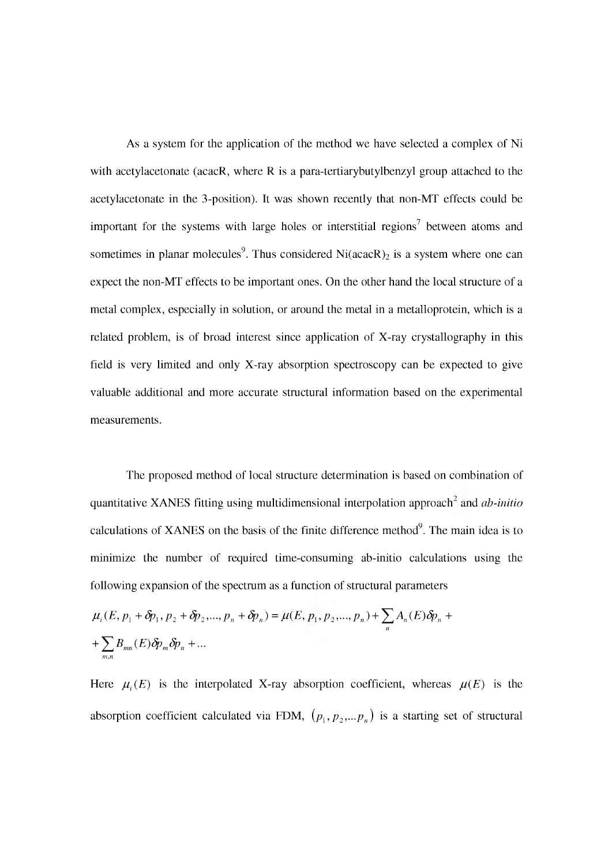As a system for the application of the method we have selected a complex of Ni with acetylacetonate (acacR, where R is a para-tertiarybutylbenzyl group attached to the acetylacetonate in the 3-position). It was shown recently that non-MT effects could be important for the systems with large holes or interstitial regions<sup>7</sup> between atoms and sometimes in planar molecules<sup>9</sup>. Thus considered Ni(acacR)<sub>2</sub> is a system where one can expect the non-MT effects to be important ones. On the other hand the local structure of a metal complex, especially in solution, or around the metal in a metalloprotein, which is a related problem, is of broad interest since application of X-ray crystallography in this field is very limited and only X-ray absorption spectroscopy can be expected to give valuable additional and more accurate structural information based on the experimental measurements.

The proposed method of local structure determination is based on combination of quantitative XANES fitting using multidimensional interpolation approach<sup>2</sup> and *ab-initio* calculations of XANES on the basis of the finite difference method $9$ . The main idea is to minimize the number of required time-consuming ab-initio calculations using the following expansion of the spectrum as a function of structural parameters

$$
\mu_i(E, p_1 + \delta p_1, p_2 + \delta p_2, ..., p_n + \delta p_n) = \mu(E, p_1, p_2, ..., p_n) + \sum_n A_n(E)\delta p_n + \sum_{m,n} B_{mn}(E)\delta p_m \delta p_n + ...
$$

Here  $\mu_i(E)$  is the interpolated X-ray absorption coefficient, whereas  $\mu(E)$  is the absorption coefficient calculated via FDM,  $(p_1, p_2,...p_n)$  is a starting set of structural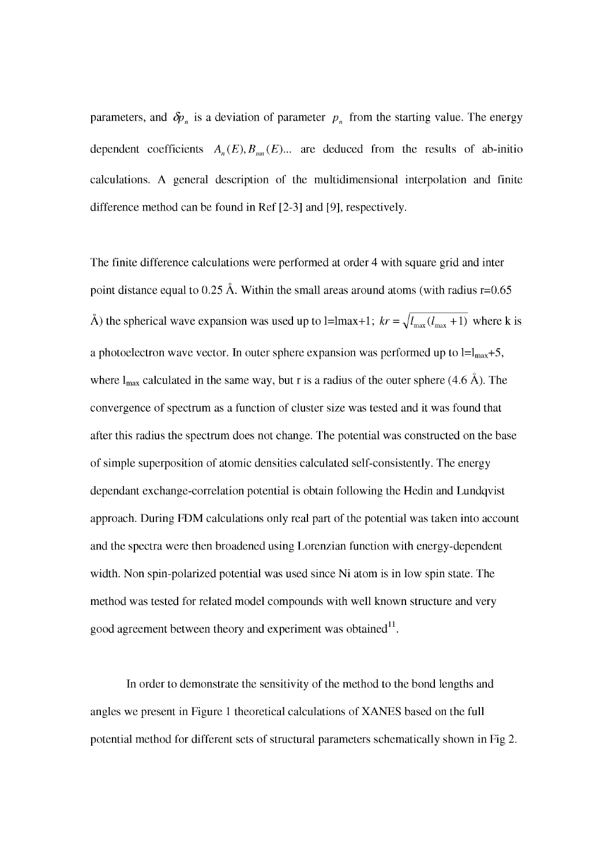parameters, and  $\delta p_n$  is a deviation of parameter  $p_n$  from the starting value. The energy dependent coefficients  $A_n(E), B_{mn}(E)$ ... are deduced from the results of ab-initio calculations. A general description of the multidimensional interpolation and finite difference method can be found in Ref [2-3] and [9], respectively.

The finite difference calculations were performed at order 4 with square grid and inter point distance equal to 0.25 Å. Within the small areas around atoms (with radius  $r=0.65$ ) Å) the spherical wave expansion was used up to l=lmax+1;  $kr = \sqrt{l_{\text{max}}(l_{\text{max}} + 1)}$  where k is a photoelectron wave vector. In outer sphere expansion was performed up to  $l=l_{max}+5$ , where  $l_{\text{max}}$  calculated in the same way, but r is a radius of the outer sphere (4.6 Å). The convergence of spectrum as a function of cluster size was tested and it was found that after this radius the spectrum does not change. The potential was constructed on the base of simple superposition of atomic densities calculated self-consistently. The energy dependant exchange-correlation potential is obtain following the Hedin and Lundqvist approach. During FDM calculations only real part of the potential was taken into account and the spectra were then broadened using Lorenzian function with energy-dependent width. Non spin-polarized potential was used since Ni atom is in low spin state. The method was tested for related model compounds with well known structure and very good agreement between theory and experiment was obtained $^{11}$ .

In order to demonstrate the sensitivity of the method to the bond lengths and angles we present in Figure 1 theoretical calculations of XANES based on the full potential method for different sets of structural parameters schematically shown in Fig 2.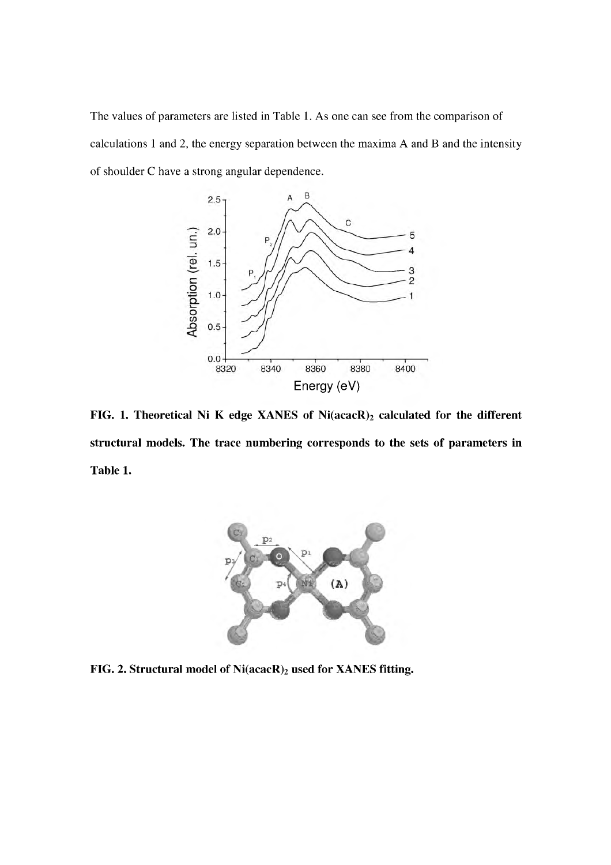The values of parameters are listed in Table 1. As one can see from the comparison of calculations 1 and 2, the energy separation between the maxima A and B and the intensity of shoulder C have a strong angular dependence.



FIG. 1. Theoretical Ni K edge XANES of  $Ni(acacR)_2$  calculated for the different structural models. The trace numbering corresponds to the sets of parameters in Table 1.



FIG. 2. Structural model of Ni(acacR)<sub>2</sub> used for XANES fitting.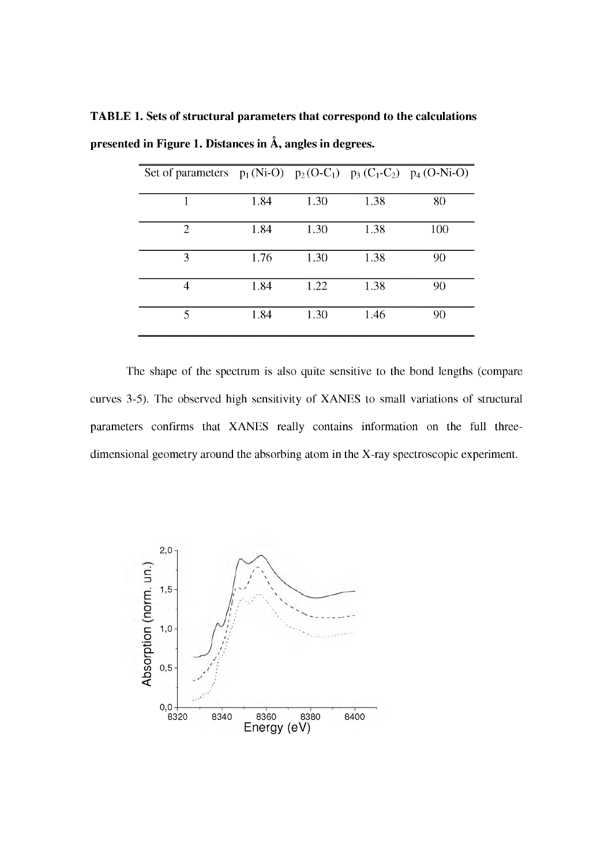|      |                      |                      | 80                                                                                              |
|------|----------------------|----------------------|-------------------------------------------------------------------------------------------------|
|      |                      |                      |                                                                                                 |
|      |                      |                      | 100                                                                                             |
| 1.76 | 1.30                 | 1.38                 | 90                                                                                              |
|      |                      |                      | 90                                                                                              |
|      |                      |                      |                                                                                                 |
| 1.84 | 1.30                 | 1.46                 | 90                                                                                              |
|      | 1.84<br>1.84<br>1.84 | 1.30<br>1.30<br>1.22 | Set of parameters $p_1(Ni-O)$ $p_2(O-C_1)$ $p_3(C_1-C_2)$ $p_4(O-Ni-O)$<br>1.38<br>1.38<br>1.38 |

TABLE 1. Sets of structural parameters that correspond to the calculations presented in Figure 1. Distances in Å, angles in degrees.

The shape of the spectrum is also quite sensitive to the bond lengths (compare curves 3-5). The observed high sensitivity of XANES to small variations of structural parameters confirms that XANES really contains information on the full threedimensional geometry around the absorbing atom in the X-ray spectroscopic experiment.

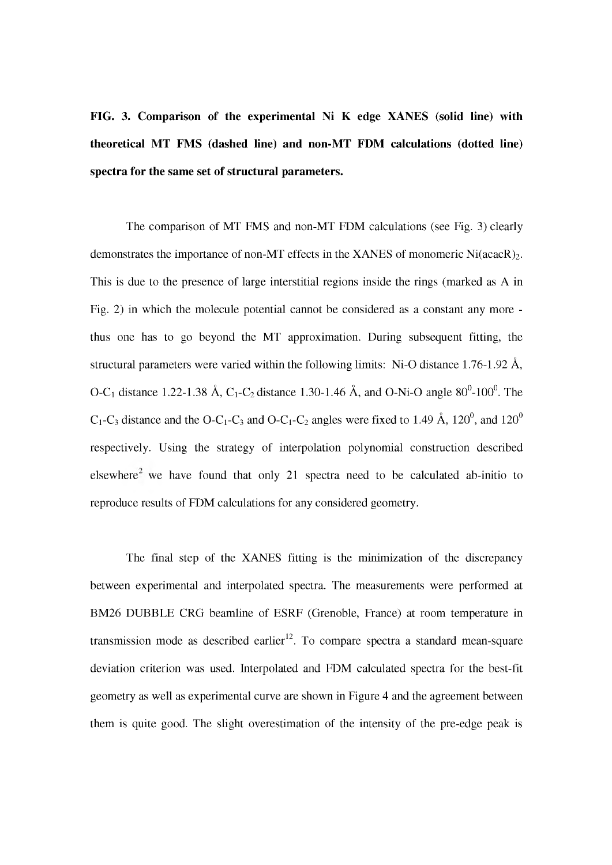## FIG. 3. Comparison of the experimental Ni K edge XANES (solid line) with theoretical MT FMS (dashed line) and non-MT FDM calculations (dotted line) spectra for the same set of structural parameters.

The comparison of MT FMS and non-MT FDM calculations (see Fig. 3) clearly demonstrates the importance of non-MT effects in the XANES of monomeric  $Ni(\text{acacR})_2$ . This is due to the presence of large interstitial regions inside the rings (marked as A in Fig. 2) in which the molecule potential cannot be considered as a constant any more thus one has to go beyond the MT approximation. During subsequent fitting, the structural parameters were varied within the following limits: Ni-O distance 1.76-1.92 Â, O-C<sub>1</sub> distance 1.22-1.38 Å, C<sub>1</sub>-C<sub>2</sub> distance 1.30-1.46 Å, and O-Ni-O angle  $80^0$ -100<sup>0</sup>. The  $C_1$ -C<sub>3</sub> distance and the O-C<sub>1</sub>-C<sub>3</sub> and O-C<sub>1</sub>-C<sub>2</sub> angles were fixed to 1.49 Å, 120<sup>0</sup>, and 120<sup>0</sup> respectively. Using the strategy of interpolation polynomial construction described elsewhere<sup>2</sup> we have found that only 21 spectra need to be calculated ab-initio to reproduce results of FDM calculations for any considered geometry.

The final step of the XANES fitting is the minimization of the discrepancy between experimental and interpolated spectra. The measurements were performed at BM26 DUBBLE CRG beamline of ESRF (Grenoble, France) at room temperature in transmission mode as described earlier<sup>12</sup>. To compare spectra a standard mean-square deviation criterion was used. Interpolated and FDM calculated spectra for the best-fit geometry as well as experimental curve are shown in Figure 4 and the agreement between them is quite good. The slight overestimation of the intensity of the pre-edge peak is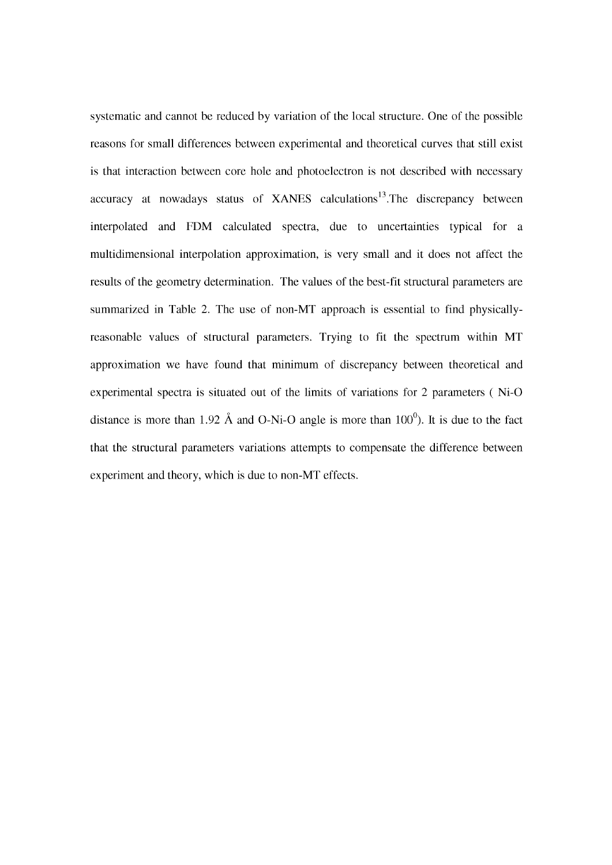systematic and cannot be reduced by variation of the local structure. One of the possible reasons for small differences between experimental and theoretical curves that still exist is that interaction between core hole and photoelectron is not described with necessary accuracy at nowadays status of XANES calculations<sup>13</sup>. The discrepancy between interpolated and FDM calculated spectra, due to uncertainties typical for a multidimensional interpolation approximation, is very small and it does not affect the results of the geometry determination. The values of the best-fit structural parameters are summarized in Table 2. The use of non-MT approach is essential to find physicallyreasonable values of structural parameters. Trying to fit the spectrum within MT approximation we have found that minimum of discrepancy between theoretical and experimental spectra is situated out of the limits of variations for 2 parameters ( Ni-O distance is more than 1.92 Å and O-Ni-O angle is more than  $100^{\circ}$ ). It is due to the fact that the structural parameters variations attempts to compensate the difference between experiment and theory, which is due to non-MT effects.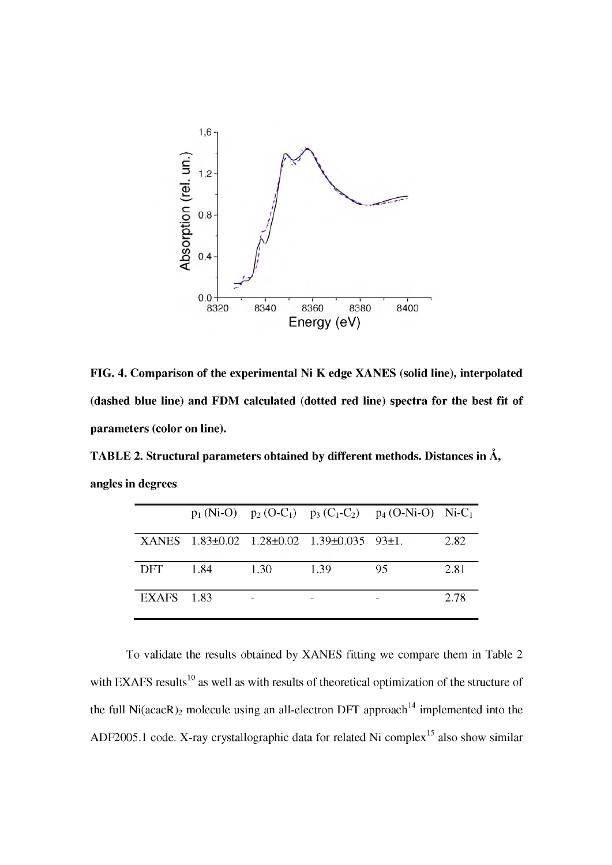

FIG. 4. Comparison of the experimental Ni K edge XANES (solid line), interpolated (dashed blue line) and FDM calculated (dotted red line) spectra for the best fit of parameters (color on line).

TABLE 2. Structural parameters obtained by different methods. Distances in  $\rm \AA,$ angles in degrees

|                   |      |      |                                            | $p_1(Ni-O)$ $p_2(O-C_1)$ $p_3(C_1-C_2)$ $p_4(O-Ni-O)$ $Ni-C_1$ |      |
|-------------------|------|------|--------------------------------------------|----------------------------------------------------------------|------|
|                   |      |      | XANES 1.83±0.02 1.28±0.02 1.39±0.035 93±1. |                                                                | 2.82 |
| DFT.              | 1.84 | 1.30 | 1.39                                       | 95                                                             | 2.81 |
| <b>EXAFS</b> 1.83 |      |      |                                            |                                                                | 2.78 |

To validate the results obtained by XANES fitting we compare them in Table 2 with EXAFS results<sup>10</sup> as well as with results of theoretical optimization of the structure of the full  $Ni (acacR)_2$  molecule using an all-electron DFT approach<sup>14</sup> implemented into the ADF2005.1 code. X-ray crystallographic data for related Ni complex<sup>15</sup> also show similar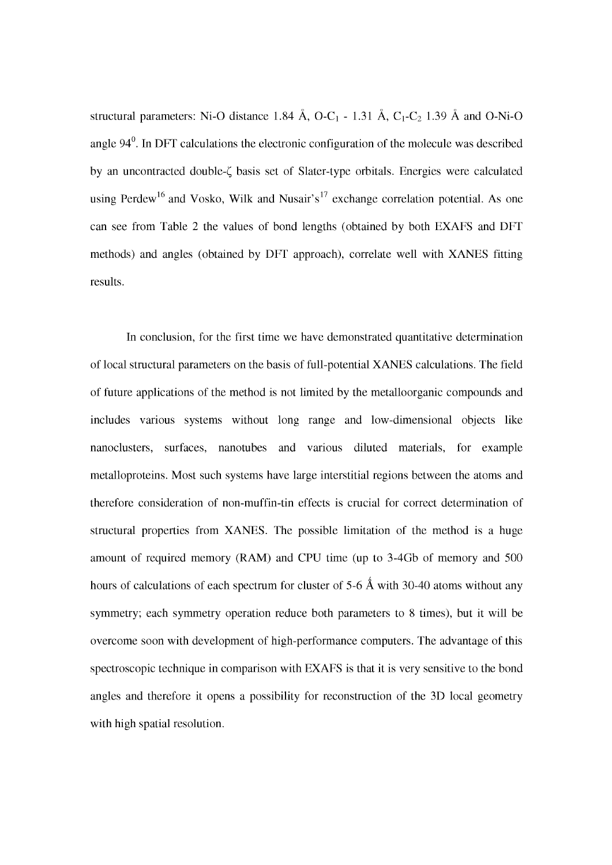structural parameters: Ni-O distance 1.84 Å, O-C<sub>1</sub> - 1.31 Å, C<sub>1</sub>-C<sub>2</sub> 1.39 Å and O-Ni-O angle  $94<sup>0</sup>$ . In DFT calculations the electronic configuration of the molecule was described by an uncontracted double- $\zeta$  basis set of Slater-type orbitals. Energies were calculated using Perdew<sup>16</sup> and Vosko, Wilk and Nusair's<sup>17</sup> exchange correlation potential. As one can see from Table 2 the values of bond lengths (obtained by both EXAFS and DFT methods) and angles (obtained by DFT approach), correlate well with XANES fitting results.

In conclusion, for the first time we have demonstrated quantitative determination of local structural parameters on the basis of full-potential XANES calculations. The field of future applications of the method is not limited by the metalloorganic compounds and includes various systems without long range and low-dimensional objects like nanoclusters, surfaces, nanotubes and various diluted materials, for example metalloproteins. Most such systems have large interstitial regions between the atoms and therefore consideration of non-muffin-tin effects is crucial for correct determination of structural properties from XANES. The possible limitation of the method is a huge amount of required memory (RAM) and CPU time (up to 3-4Gb of memory and 500 hours of calculations of each spectrum for cluster of 5-6  $\AA$  with 30-40 atoms without any symmetry; each symmetry operation reduce both parameters to 8 times), but it will be overcome soon with development of high-performance computers. The advantage of this spectroscopic technique in comparison with EXAFS is that it is very sensitive to the bond angles and therefore it opens a possibility for reconstruction of the 3D local geometry with high spatial resolution.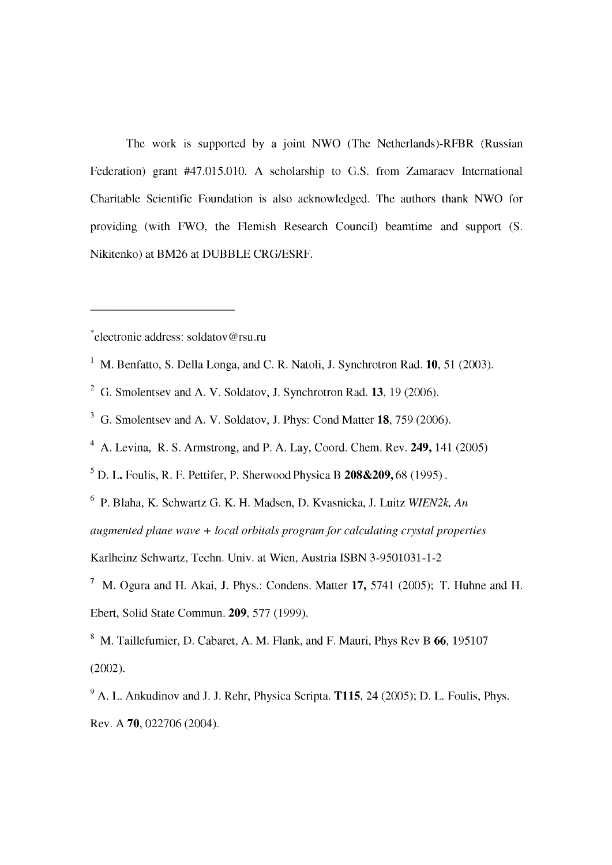The work is supported by a joint NWO (The Netherlands)-RFBR (Russian Federation) grant #47.015.010. A scholarship to G.S. from Zamaraev International Charitable Scientific Foundation is also acknowledged. The authors thank NWO for providing (with FWO, the Flemish Research Council) beamtime and support (S. Nikitenko) at BM26 at DUBBLE CRG/ESRF.

\*electronic address: [soldatov@rsu.ru](mailto:soldatov@rsu.ru)

- <sup>1</sup> M. Benfatto, S. Della Longa, and C. R. Natoli, J. Synchrotron Rad. **10**, 51 (2003).
- $^{2}$  G. Smolentsev and A. V. Soldatov, J. Synchrotron Rad. 13, 19 (2006).
- <sup>3</sup> G. Smolentsev and A. V. Soldatov, J. Phys: Cond Matter **18**, 759 (2006).
- $4$  A. Levina, R. S. Armstrong, and P. A. Lay, Coord. Chem. Rev. 249, 141 (2005)

 $<sup>5</sup>$  D. L. Foulis, R. F. Pettifer, P. Sherwood Physica B **208&209**, 68 (1995).</sup>

6 P. Blaha, K. Schwartz G. K. H. Madsen, D. Kvasnicka, J. Luitz *WIEN2k, An*

*augmented plane wave + local orbitals program for calculating crystal properties*

Karlheinz Schwartz, Techn. Univ. at Wien, Austria ISBN 3-9501031-1-2

<sup>7</sup> M. Ogura and H. Akai, J. Phys.: Condens. Matter 17, 5741 (2005): T. Huhne and H. Ebert, Solid State Commun. 209, 577 (1999).

<sup>8</sup> M. Taillefumier, D. Cabaret, A. M. Flank, and F. Mauri, Phys Rev B 66, 195107 (2002).

 $9$  A. L. Ankudinov and J. J. Rehr, Physica Scripta. T115, 24 (2005); D. L. Foulis, Phys. Rev. A 70, 022706 (2004).